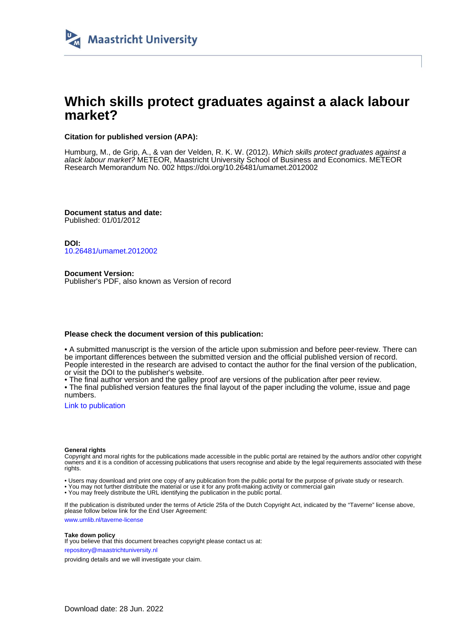

# **Which skills protect graduates against a alack labour market?**

#### **Citation for published version (APA):**

Humburg, M., de Grip, A., & van der Velden, R. K. W. (2012). Which skills protect graduates against a alack labour market? METEOR, Maastricht University School of Business and Economics. METEOR Research Memorandum No. 002 <https://doi.org/10.26481/umamet.2012002>

**Document status and date:** Published: 01/01/2012

**DOI:** [10.26481/umamet.2012002](https://doi.org/10.26481/umamet.2012002)

**Document Version:** Publisher's PDF, also known as Version of record

#### **Please check the document version of this publication:**

• A submitted manuscript is the version of the article upon submission and before peer-review. There can be important differences between the submitted version and the official published version of record. People interested in the research are advised to contact the author for the final version of the publication, or visit the DOI to the publisher's website.

• The final author version and the galley proof are versions of the publication after peer review.

• The final published version features the final layout of the paper including the volume, issue and page numbers.

[Link to publication](https://cris.maastrichtuniversity.nl/en/publications/9e71fa02-82c9-4ad3-8257-cb5eb363fad2)

#### **General rights**

Copyright and moral rights for the publications made accessible in the public portal are retained by the authors and/or other copyright owners and it is a condition of accessing publications that users recognise and abide by the legal requirements associated with these rights.

• Users may download and print one copy of any publication from the public portal for the purpose of private study or research.

• You may not further distribute the material or use it for any profit-making activity or commercial gain

• You may freely distribute the URL identifying the publication in the public portal.

If the publication is distributed under the terms of Article 25fa of the Dutch Copyright Act, indicated by the "Taverne" license above, please follow below link for the End User Agreement:

www.umlib.nl/taverne-license

#### **Take down policy**

If you believe that this document breaches copyright please contact us at: repository@maastrichtuniversity.nl

providing details and we will investigate your claim.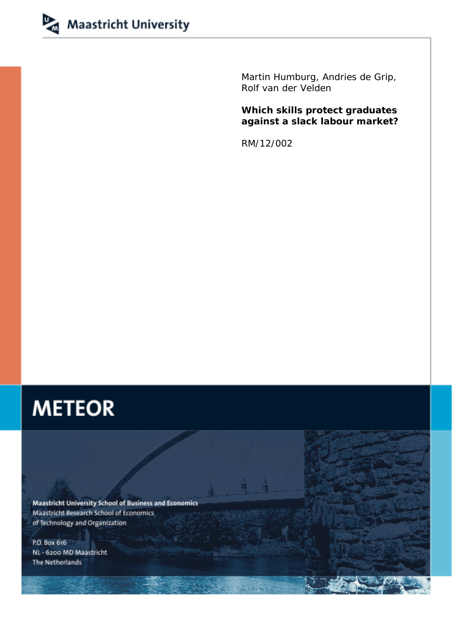

Martin Humburg, Andries de Grip, Rolf van der Velden

## **Which skills protect graduates against a slack labour market?**

RM/12/002

# **METEOR**

**Maastricht University School of Business and Economics** Maastricht Research School of Economics of Technology and Organization

P.O. Box 616 NL - 6200 MD Maastricht The Netherlands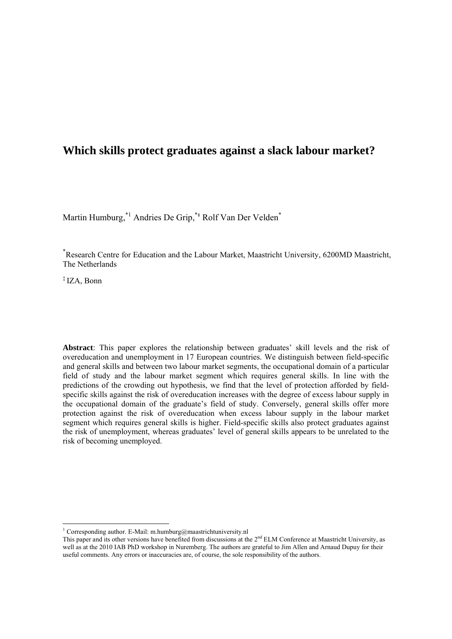## **Which skills protect graduates against a slack labour market?**

Martin Humburg, <sup>\*1</sup> Andries De Grip, <sup>\*+</sup> Rolf Van Der Velden<sup>\*</sup>

\* Research Centre for Education and the Labour Market, Maastricht University, 6200MD Maastricht, The Netherlands

‡ IZA, Bonn

**Abstract**: This paper explores the relationship between graduates' skill levels and the risk of overeducation and unemployment in 17 European countries. We distinguish between field-specific and general skills and between two labour market segments, the occupational domain of a particular field of study and the labour market segment which requires general skills. In line with the predictions of the crowding out hypothesis, we find that the level of protection afforded by fieldspecific skills against the risk of overeducation increases with the degree of excess labour supply in the occupational domain of the graduate's field of study. Conversely, general skills offer more protection against the risk of overeducation when excess labour supply in the labour market segment which requires general skills is higher. Field-specific skills also protect graduates against the risk of unemployment, whereas graduates' level of general skills appears to be unrelated to the risk of becoming unemployed.

 1 Corresponding author. E-Mail: m.humburg@maastrichtuniversity.nl

This paper and its other versions have benefited from discussions at the  $2<sup>nd</sup>$  ELM Conference at Maastricht University, as well as at the 2010 IAB PhD workshop in Nuremberg. The authors are grateful to Jim Allen and Arnaud Dupuy for their useful comments. Any errors or inaccuracies are, of course, the sole responsibility of the authors.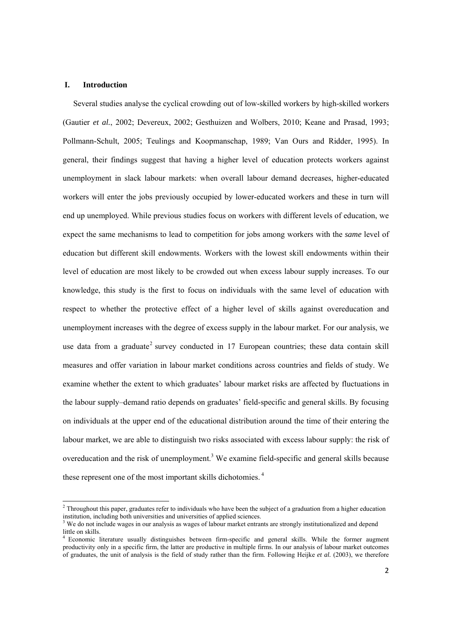#### **I. Introduction**

Several studies analyse the cyclical crowding out of low-skilled workers by high-skilled workers (Gautier *et al.*, 2002; Devereux, 2002; Gesthuizen and Wolbers, 2010; Keane and Prasad, 1993; Pollmann-Schult, 2005; Teulings and Koopmanschap, 1989; Van Ours and Ridder, 1995). In general, their findings suggest that having a higher level of education protects workers against unemployment in slack labour markets: when overall labour demand decreases, higher-educated workers will enter the jobs previously occupied by lower-educated workers and these in turn will end up unemployed. While previous studies focus on workers with different levels of education, we expect the same mechanisms to lead to competition for jobs among workers with the *same* level of education but different skill endowments. Workers with the lowest skill endowments within their level of education are most likely to be crowded out when excess labour supply increases. To our knowledge, this study is the first to focus on individuals with the same level of education with respect to whether the protective effect of a higher level of skills against overeducation and unemployment increases with the degree of excess supply in the labour market. For our analysis, we use data from a graduate<sup>2</sup> survey conducted in  $17$  European countries; these data contain skill measures and offer variation in labour market conditions across countries and fields of study. We examine whether the extent to which graduates' labour market risks are affected by fluctuations in the labour supply–demand ratio depends on graduates' field-specific and general skills. By focusing on individuals at the upper end of the educational distribution around the time of their entering the labour market, we are able to distinguish two risks associated with excess labour supply: the risk of overeducation and the risk of unemployment.<sup>3</sup> We examine field-specific and general skills because these represent one of the most important skills dichotomies.<sup>4</sup>

<sup>&</sup>lt;sup>2</sup> Throughout this paper, graduates refer to individuals who have been the subject of a graduation from a higher education institution, including both universities and universities of applied sciences.<br><sup>3</sup> We do not include wages in our analysis as wages of labour market entrants are strongly institutionalized and depend

little on skills.

<sup>4</sup> Economic literature usually distinguishes between firm-specific and general skills. While the former augment productivity only in a specific firm, the latter are productive in multiple firms. In our analysis of labour market outcomes of graduates, the unit of analysis is the field of study rather than the firm. Following Heijke *et al.* (2003), we therefore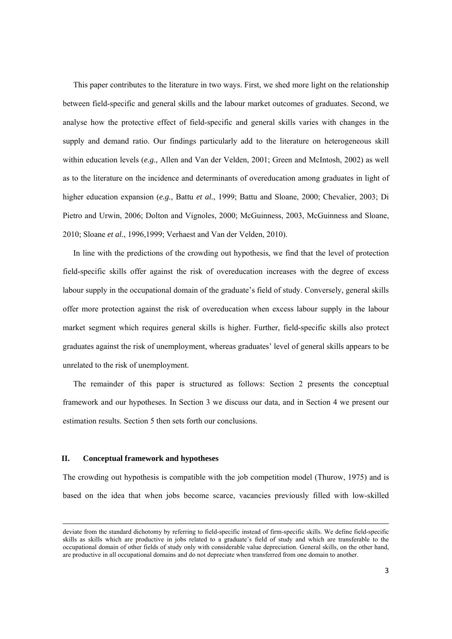This paper contributes to the literature in two ways. First, we shed more light on the relationship between field-specific and general skills and the labour market outcomes of graduates. Second, we analyse how the protective effect of field-specific and general skills varies with changes in the supply and demand ratio. Our findings particularly add to the literature on heterogeneous skill within education levels (*e.g.,* Allen and Van der Velden, 2001; Green and McIntosh, 2002) as well as to the literature on the incidence and determinants of overeducation among graduates in light of higher education expansion (*e.g.,* Battu *et al.*, 1999; Battu and Sloane, 2000; Chevalier, 2003; Di Pietro and Urwin, 2006; Dolton and Vignoles, 2000; McGuinness, 2003, McGuinness and Sloane, 2010; Sloane *et al.*, 1996,1999; Verhaest and Van der Velden, 2010).

In line with the predictions of the crowding out hypothesis, we find that the level of protection field-specific skills offer against the risk of overeducation increases with the degree of excess labour supply in the occupational domain of the graduate's field of study. Conversely, general skills offer more protection against the risk of overeducation when excess labour supply in the labour market segment which requires general skills is higher. Further, field-specific skills also protect graduates against the risk of unemployment, whereas graduates' level of general skills appears to be unrelated to the risk of unemployment.

The remainder of this paper is structured as follows: Section 2 presents the conceptual framework and our hypotheses. In Section 3 we discuss our data, and in Section 4 we present our estimation results. Section 5 then sets forth our conclusions.

#### **II. Conceptual framework and hypotheses**

The crowding out hypothesis is compatible with the job competition model (Thurow, 1975) and is based on the idea that when jobs become scarce, vacancies previously filled with low-skilled

<u> 1989 - Johann Stoff, fransk politik (f. 1989)</u>

deviate from the standard dichotomy by referring to field-specific instead of firm-specific skills. We define field-specific skills as skills which are productive in jobs related to a graduate's field of study and which are transferable to the occupational domain of other fields of study only with considerable value depreciation. General skills, on the other hand, are productive in all occupational domains and do not depreciate when transferred from one domain to another.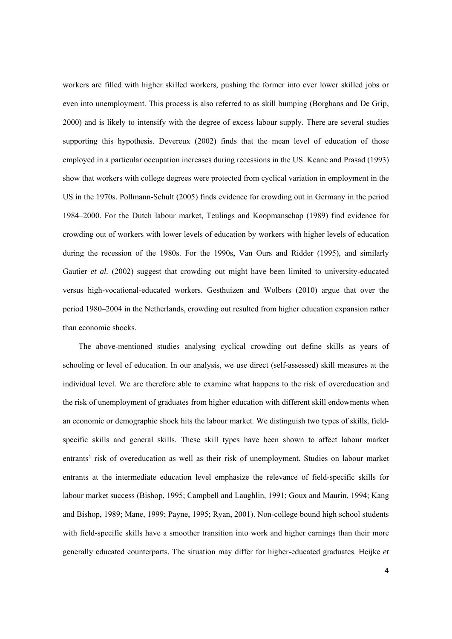workers are filled with higher skilled workers, pushing the former into ever lower skilled jobs or even into unemployment. This process is also referred to as skill bumping (Borghans and De Grip, 2000) and is likely to intensify with the degree of excess labour supply. There are several studies supporting this hypothesis. Devereux (2002) finds that the mean level of education of those employed in a particular occupation increases during recessions in the US. Keane and Prasad (1993) show that workers with college degrees were protected from cyclical variation in employment in the US in the 1970s. Pollmann-Schult (2005) finds evidence for crowding out in Germany in the period 1984–2000. For the Dutch labour market, Teulings and Koopmanschap (1989) find evidence for crowding out of workers with lower levels of education by workers with higher levels of education during the recession of the 1980s. For the 1990s, Van Ours and Ridder (1995), and similarly Gautier *et al.* (2002) suggest that crowding out might have been limited to university-educated versus high-vocational-educated workers. Gesthuizen and Wolbers (2010) argue that over the period 1980–2004 in the Netherlands, crowding out resulted from higher education expansion rather than economic shocks.

The above-mentioned studies analysing cyclical crowding out define skills as years of schooling or level of education. In our analysis, we use direct (self-assessed) skill measures at the individual level. We are therefore able to examine what happens to the risk of overeducation and the risk of unemployment of graduates from higher education with different skill endowments when an economic or demographic shock hits the labour market. We distinguish two types of skills, fieldspecific skills and general skills. These skill types have been shown to affect labour market entrants' risk of overeducation as well as their risk of unemployment. Studies on labour market entrants at the intermediate education level emphasize the relevance of field-specific skills for labour market success (Bishop, 1995; Campbell and Laughlin, 1991; Goux and Maurin, 1994; Kang and Bishop, 1989; Mane, 1999; Payne, 1995; Ryan, 2001). Non-college bound high school students with field-specific skills have a smoother transition into work and higher earnings than their more generally educated counterparts. The situation may differ for higher-educated graduates. Heijke *et*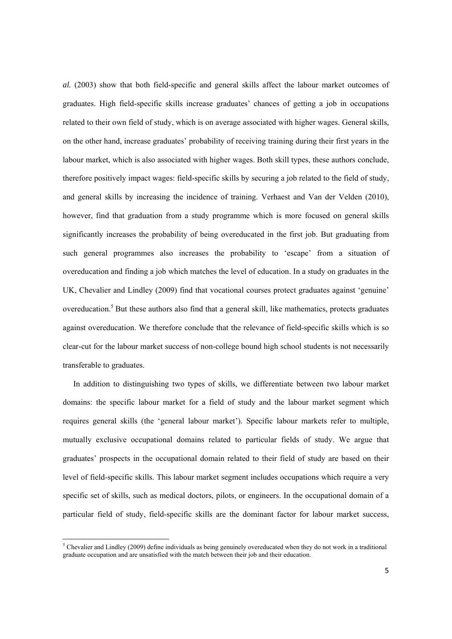*al.* (2003) show that both field-specific and general skills affect the labour market outcomes of graduates. High field-specific skills increase graduates' chances of getting a job in occupations related to their own field of study, which is on average associated with higher wages. General skills, on the other hand, increase graduates' probability of receiving training during their first years in the labour market, which is also associated with higher wages. Both skill types, these authors conclude, therefore positively impact wages: field-specific skills by securing a job related to the field of study, and general skills by increasing the incidence of training. Verhaest and Van der Velden (2010), however, find that graduation from a study programme which is more focused on general skills significantly increases the probability of being overeducated in the first job. But graduating from such general programmes also increases the probability to 'escape' from a situation of overeducation and finding a job which matches the level of education. In a study on graduates in the UK, Chevalier and Lindley (2009) find that vocational courses protect graduates against 'genuine' overeducation.<sup>5</sup> But these authors also find that a general skill, like mathematics, protects graduates against overeducation. We therefore conclude that the relevance of field-specific skills which is so clear-cut for the labour market success of non-college bound high school students is not necessarily transferable to graduates.

In addition to distinguishing two types of skills, we differentiate between two labour market domains: the specific labour market for a field of study and the labour market segment which requires general skills (the 'general labour market'). Specific labour markets refer to multiple, mutually exclusive occupational domains related to particular fields of study. We argue that graduates' prospects in the occupational domain related to their field of study are based on their level of field-specific skills. This labour market segment includes occupations which require a very specific set of skills, such as medical doctors, pilots, or engineers. In the occupational domain of a particular field of study, field-specific skills are the dominant factor for labour market success,

 5 Chevalier and Lindley (2009) define individuals as being genuinely overeducated when they do not work in a traditional graduate occupation and are unsatisfied with the match between their job and their education.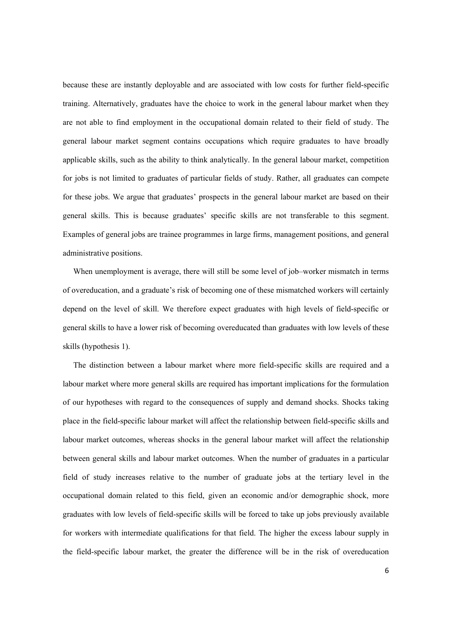because these are instantly deployable and are associated with low costs for further field-specific training. Alternatively, graduates have the choice to work in the general labour market when they are not able to find employment in the occupational domain related to their field of study. The general labour market segment contains occupations which require graduates to have broadly applicable skills, such as the ability to think analytically. In the general labour market, competition for jobs is not limited to graduates of particular fields of study. Rather, all graduates can compete for these jobs. We argue that graduates' prospects in the general labour market are based on their general skills. This is because graduates' specific skills are not transferable to this segment. Examples of general jobs are trainee programmes in large firms, management positions, and general administrative positions.

When unemployment is average, there will still be some level of job–worker mismatch in terms of overeducation, and a graduate's risk of becoming one of these mismatched workers will certainly depend on the level of skill. We therefore expect graduates with high levels of field-specific or general skills to have a lower risk of becoming overeducated than graduates with low levels of these skills (hypothesis 1).

The distinction between a labour market where more field-specific skills are required and a labour market where more general skills are required has important implications for the formulation of our hypotheses with regard to the consequences of supply and demand shocks. Shocks taking place in the field-specific labour market will affect the relationship between field-specific skills and labour market outcomes, whereas shocks in the general labour market will affect the relationship between general skills and labour market outcomes. When the number of graduates in a particular field of study increases relative to the number of graduate jobs at the tertiary level in the occupational domain related to this field, given an economic and/or demographic shock, more graduates with low levels of field-specific skills will be forced to take up jobs previously available for workers with intermediate qualifications for that field. The higher the excess labour supply in the field-specific labour market, the greater the difference will be in the risk of overeducation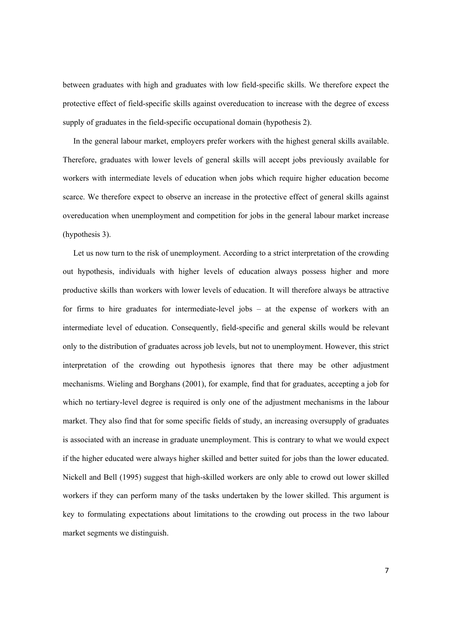between graduates with high and graduates with low field-specific skills. We therefore expect the protective effect of field-specific skills against overeducation to increase with the degree of excess supply of graduates in the field-specific occupational domain (hypothesis 2).

In the general labour market, employers prefer workers with the highest general skills available. Therefore, graduates with lower levels of general skills will accept jobs previously available for workers with intermediate levels of education when jobs which require higher education become scarce. We therefore expect to observe an increase in the protective effect of general skills against overeducation when unemployment and competition for jobs in the general labour market increase (hypothesis 3).

Let us now turn to the risk of unemployment. According to a strict interpretation of the crowding out hypothesis, individuals with higher levels of education always possess higher and more productive skills than workers with lower levels of education. It will therefore always be attractive for firms to hire graduates for intermediate-level jobs – at the expense of workers with an intermediate level of education. Consequently, field-specific and general skills would be relevant only to the distribution of graduates across job levels, but not to unemployment. However, this strict interpretation of the crowding out hypothesis ignores that there may be other adjustment mechanisms. Wieling and Borghans (2001), for example, find that for graduates, accepting a job for which no tertiary-level degree is required is only one of the adjustment mechanisms in the labour market. They also find that for some specific fields of study, an increasing oversupply of graduates is associated with an increase in graduate unemployment. This is contrary to what we would expect if the higher educated were always higher skilled and better suited for jobs than the lower educated. Nickell and Bell (1995) suggest that high-skilled workers are only able to crowd out lower skilled workers if they can perform many of the tasks undertaken by the lower skilled. This argument is key to formulating expectations about limitations to the crowding out process in the two labour market segments we distinguish.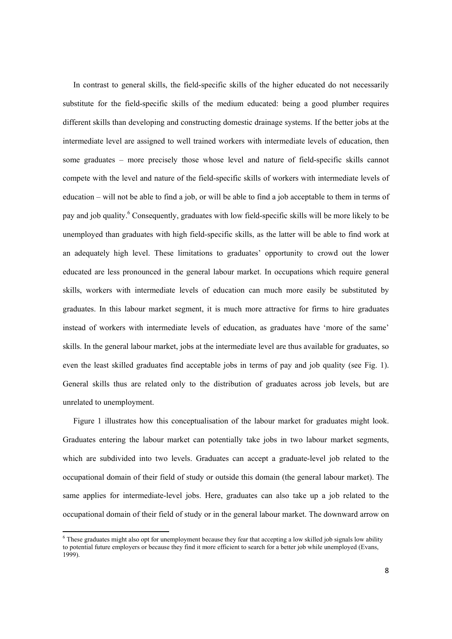In contrast to general skills, the field-specific skills of the higher educated do not necessarily substitute for the field-specific skills of the medium educated: being a good plumber requires different skills than developing and constructing domestic drainage systems. If the better jobs at the intermediate level are assigned to well trained workers with intermediate levels of education, then some graduates – more precisely those whose level and nature of field-specific skills cannot compete with the level and nature of the field-specific skills of workers with intermediate levels of education – will not be able to find a job, or will be able to find a job acceptable to them in terms of pay and job quality.<sup>6</sup> Consequently, graduates with low field-specific skills will be more likely to be unemployed than graduates with high field-specific skills, as the latter will be able to find work at an adequately high level. These limitations to graduates' opportunity to crowd out the lower educated are less pronounced in the general labour market. In occupations which require general skills, workers with intermediate levels of education can much more easily be substituted by graduates. In this labour market segment, it is much more attractive for firms to hire graduates instead of workers with intermediate levels of education, as graduates have 'more of the same' skills. In the general labour market, jobs at the intermediate level are thus available for graduates, so even the least skilled graduates find acceptable jobs in terms of pay and job quality (see Fig. 1). General skills thus are related only to the distribution of graduates across job levels, but are unrelated to unemployment.

Figure 1 illustrates how this conceptualisation of the labour market for graduates might look. Graduates entering the labour market can potentially take jobs in two labour market segments, which are subdivided into two levels. Graduates can accept a graduate-level job related to the occupational domain of their field of study or outside this domain (the general labour market). The same applies for intermediate-level jobs. Here, graduates can also take up a job related to the occupational domain of their field of study or in the general labour market. The downward arrow on

These graduates might also opt for unemployment because they fear that accepting a low skilled job signals low ability to potential future employers or because they find it more efficient to search for a better job while unemployed (Evans, 1999).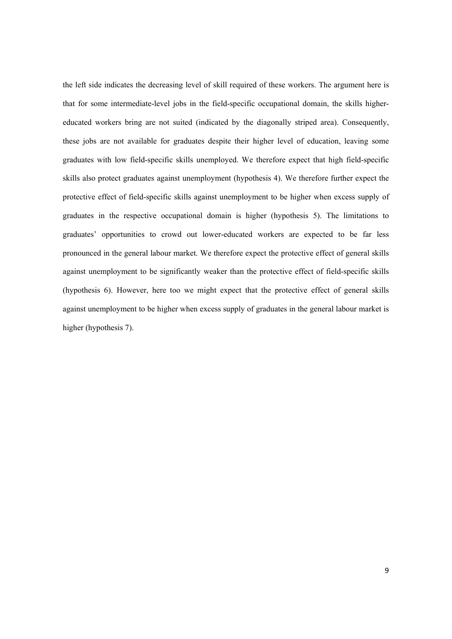the left side indicates the decreasing level of skill required of these workers. The argument here is that for some intermediate-level jobs in the field-specific occupational domain, the skills highereducated workers bring are not suited (indicated by the diagonally striped area). Consequently, these jobs are not available for graduates despite their higher level of education, leaving some graduates with low field-specific skills unemployed. We therefore expect that high field-specific skills also protect graduates against unemployment (hypothesis 4). We therefore further expect the protective effect of field-specific skills against unemployment to be higher when excess supply of graduates in the respective occupational domain is higher (hypothesis 5). The limitations to graduates' opportunities to crowd out lower-educated workers are expected to be far less pronounced in the general labour market. We therefore expect the protective effect of general skills against unemployment to be significantly weaker than the protective effect of field-specific skills (hypothesis 6). However, here too we might expect that the protective effect of general skills against unemployment to be higher when excess supply of graduates in the general labour market is higher (hypothesis 7).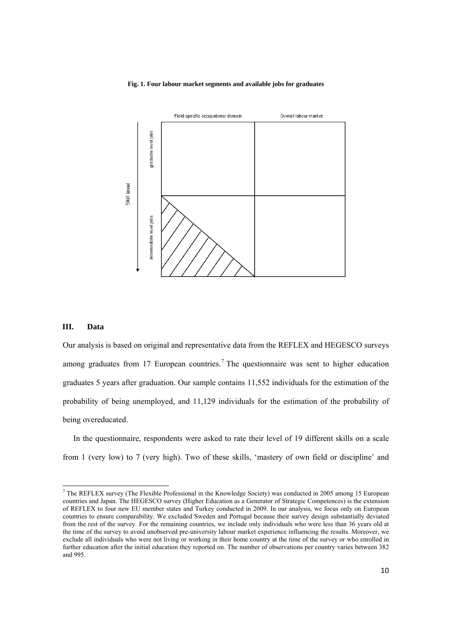#### **Fig. 1. Four labour market segments and available jobs for graduates**



#### **III. Data**

Our analysis is based on original and representative data from the REFLEX and HEGESCO surveys among graduates from 17 European countries.<sup>7</sup> The questionnaire was sent to higher education graduates 5 years after graduation. Our sample contains 11,552 individuals for the estimation of the probability of being unemployed, and 11,129 individuals for the estimation of the probability of being overeducated.

In the questionnaire, respondents were asked to rate their level of 19 different skills on a scale from 1 (very low) to 7 (very high). Two of these skills, 'mastery of own field or discipline' and

 $<sup>7</sup>$  The REFLEX survey (The Flexible Professional in the Knowledge Society) was conducted in 2005 among 15 European</sup> countries and Japan. The HEGESCO survey (Higher Education as a Generator of Strategic Competences) is the extension of REFLEX to four new EU member states and Turkey conducted in 2009. In our analysis, we focus only on European countries to ensure comparability. We excluded Sweden and Portugal because their survey design substantially deviated from the rest of the survey. For the remaining countries, we include only individuals who were less than 36 years old at the time of the survey to avoid unobserved pre-university labour market experience influencing the results. Moreover, we exclude all individuals who were not living or working in their home country at the time of the survey or who enrolled in further education after the initial education they reported on. The number of observations per country varies between 382 and 995.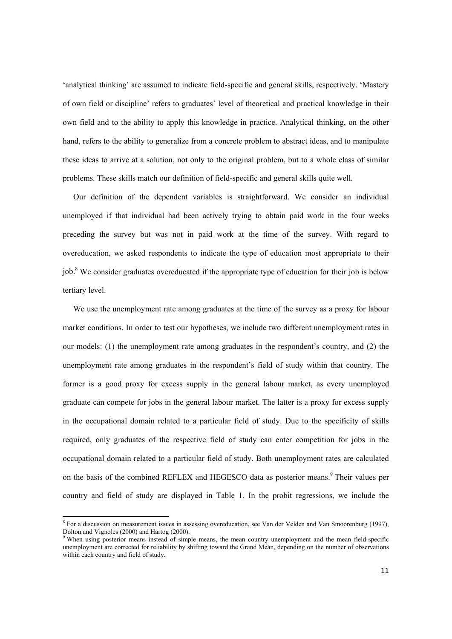'analytical thinking' are assumed to indicate field-specific and general skills, respectively. 'Mastery of own field or discipline' refers to graduates' level of theoretical and practical knowledge in their own field and to the ability to apply this knowledge in practice. Analytical thinking, on the other hand, refers to the ability to generalize from a concrete problem to abstract ideas, and to manipulate these ideas to arrive at a solution, not only to the original problem, but to a whole class of similar problems. These skills match our definition of field-specific and general skills quite well.

Our definition of the dependent variables is straightforward. We consider an individual unemployed if that individual had been actively trying to obtain paid work in the four weeks preceding the survey but was not in paid work at the time of the survey. With regard to overeducation, we asked respondents to indicate the type of education most appropriate to their job.<sup>8</sup> We consider graduates overeducated if the appropriate type of education for their job is below tertiary level.

We use the unemployment rate among graduates at the time of the survey as a proxy for labour market conditions. In order to test our hypotheses, we include two different unemployment rates in our models: (1) the unemployment rate among graduates in the respondent's country, and (2) the unemployment rate among graduates in the respondent's field of study within that country. The former is a good proxy for excess supply in the general labour market, as every unemployed graduate can compete for jobs in the general labour market. The latter is a proxy for excess supply in the occupational domain related to a particular field of study. Due to the specificity of skills required, only graduates of the respective field of study can enter competition for jobs in the occupational domain related to a particular field of study. Both unemployment rates are calculated on the basis of the combined REFLEX and HEGESCO data as posterior means.<sup>9</sup> Their values per country and field of study are displayed in Table 1. In the probit regressions, we include the

<sup>&</sup>lt;sup>8</sup> For a discussion on measurement issues in assessing overeducation, see Van der Velden and Van Smoorenburg (1997), Dolton and Vignoles (2000) and Hartog (2000).

When using posterior means instead of simple means, the mean country unemployment and the mean field-specific unemployment are corrected for reliability by shifting toward the Grand Mean, depending on the number of observations within each country and field of study.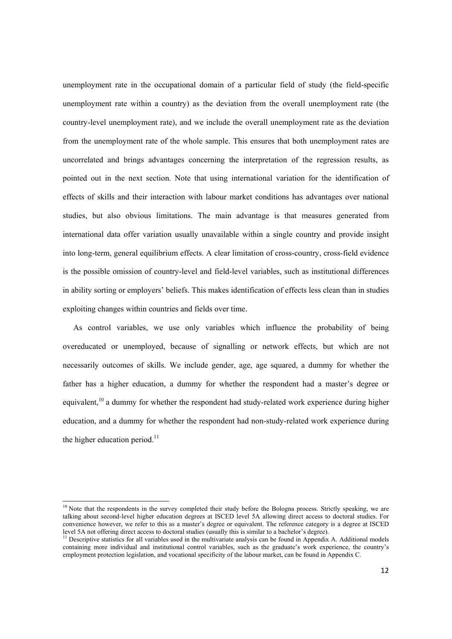unemployment rate in the occupational domain of a particular field of study (the field-specific unemployment rate within a country) as the deviation from the overall unemployment rate (the country-level unemployment rate), and we include the overall unemployment rate as the deviation from the unemployment rate of the whole sample. This ensures that both unemployment rates are uncorrelated and brings advantages concerning the interpretation of the regression results, as pointed out in the next section. Note that using international variation for the identification of effects of skills and their interaction with labour market conditions has advantages over national studies, but also obvious limitations. The main advantage is that measures generated from international data offer variation usually unavailable within a single country and provide insight into long-term, general equilibrium effects. A clear limitation of cross-country, cross-field evidence is the possible omission of country-level and field-level variables, such as institutional differences in ability sorting or employers' beliefs. This makes identification of effects less clean than in studies exploiting changes within countries and fields over time.

As control variables, we use only variables which influence the probability of being overeducated or unemployed, because of signalling or network effects, but which are not necessarily outcomes of skills. We include gender, age, age squared, a dummy for whether the father has a higher education, a dummy for whether the respondent had a master's degree or equivalent,<sup>10</sup> a dummy for whether the respondent had study-related work experience during higher education, and a dummy for whether the respondent had non-study-related work experience during the higher education period. $^{11}$ 

 $10$  Note that the respondents in the survey completed their study before the Bologna process. Strictly speaking, we are talking about second-level higher education degrees at ISCED level 5A allowing direct access to doctoral studies. For convenience however, we refer to this as a master's degree or equivalent. The reference category is a degree at ISCED level 5A not offering direct access to doctoral studies (usually this is similar to a bachelor's degree).

 $<sup>11</sup>$  Descriptive statistics for all variables used in the multivariate analysis can be found in Appendix A. Additional models</sup> containing more individual and institutional control variables, such as the graduate's work experience, the country's employment protection legislation, and vocational specificity of the labour market, can be found in Appendix C.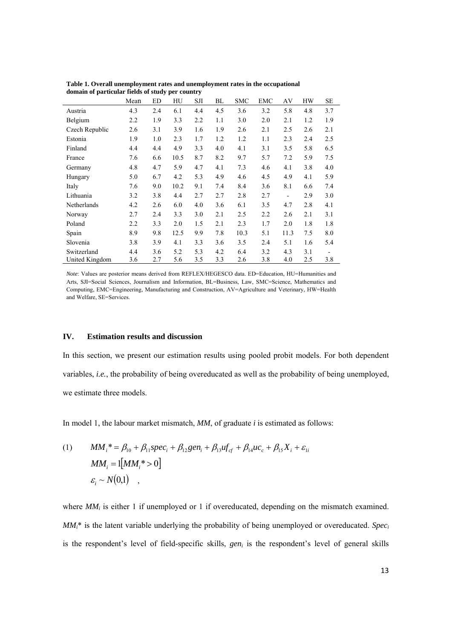|                | Mean | ED  | HU   | SJI | BL  | <b>SMC</b> | <b>EMC</b> | AV                           | HW  | SЕ  |
|----------------|------|-----|------|-----|-----|------------|------------|------------------------------|-----|-----|
| Austria        | 4.3  | 2.4 | 6.1  | 4.4 | 4.5 | 3.6        | 3.2        | 5.8                          | 4.8 | 3.7 |
| Belgium        | 2.2  | 1.9 | 3.3  | 2.2 | 1.1 | 3.0        | 2.0        | 2.1                          | 1.2 | 1.9 |
| Czech Republic | 2.6  | 3.1 | 3.9  | 1.6 | 1.9 | 2.6        | 2.1        | 2.5                          | 2.6 | 2.1 |
| Estonia        | 1.9  | 1.0 | 2.3  | 1.7 | 1.2 | 1.2        | 1.1        | 2.3                          | 2.4 | 2.5 |
| Finland        | 4.4  | 4.4 | 4.9  | 3.3 | 4.0 | 4.1        | 3.1        | 3.5                          | 5.8 | 6.5 |
| France         | 7.6  | 6.6 | 10.5 | 8.7 | 8.2 | 9.7        | 5.7        | 7.2                          | 5.9 | 7.5 |
| Germany        | 4.8  | 4.7 | 5.9  | 4.7 | 4.1 | 7.3        | 4.6        | 4.1                          | 3.8 | 4.0 |
| Hungary        | 5.0  | 6.7 | 4.2  | 5.3 | 4.9 | 4.6        | 4.5        | 4.9                          | 4.1 | 5.9 |
| Italy          | 7.6  | 9.0 | 10.2 | 9.1 | 7.4 | 8.4        | 3.6        | 8.1                          | 6.6 | 7.4 |
| Lithuania      | 3.2  | 3.8 | 4.4  | 2.7 | 2.7 | 2.8        | 2.7        | $\qquad \qquad \blacksquare$ | 2.9 | 3.0 |
| Netherlands    | 4.2  | 2.6 | 6.0  | 4.0 | 3.6 | 6.1        | 3.5        | 4.7                          | 2.8 | 4.1 |
| Norway         | 2.7  | 2.4 | 3.3  | 3.0 | 2.1 | 2.5        | 2.2        | 2.6                          | 2.1 | 3.1 |
| Poland         | 2.2  | 3.3 | 2.0  | 1.5 | 2.1 | 2.3        | 1.7        | 2.0                          | 1.8 | 1.8 |
| Spain          | 8.9  | 9.8 | 12.5 | 9.9 | 7.8 | 10.3       | 5.1        | 11.3                         | 7.5 | 8.0 |
| Slovenia       | 3.8  | 3.9 | 4.1  | 3.3 | 3.6 | 3.5        | 2.4        | 5.1                          | 1.6 | 5.4 |
| Switzerland    | 4.4  | 3.6 | 5.2  | 5.3 | 4.2 | 6.4        | 3.2        | 4.3                          | 3.1 |     |
| United Kingdom | 3.6  | 2.7 | 5.6  | 3.5 | 3.3 | 2.6        | 3.8        | 4.0                          | 2.5 | 3.8 |

**Table 1. Overall unemployment rates and unemployment rates in the occupational domain of particular fields of study per country**

*Note*: Values are posterior means derived from REFLEX/HEGESCO data. ED=Education, HU=Humanities and Arts, SJI=Social Sciences, Journalism and Information, BL=Business, Law, SMC=Science, Mathematics and Computing, EMC=Engineering, Manufacturing and Construction, AV=Agriculture and Veterinary, HW=Health and Welfare, SE=Services.

#### **IV. Estimation results and discussion**

In this section, we present our estimation results using pooled probit models. For both dependent variables, *i.e.*, the probability of being overeducated as well as the probability of being unemployed, we estimate three models.

In model 1, the labour market mismatch, *MM*, of graduate *i* is estimated as follows:

(1) 
$$
MM_i^* = \beta_{10} + \beta_{11} \text{spec}_i + \beta_{12} \text{gen}_i + \beta_{13} u f_{cf} + \beta_{14} u c_c + \beta_{15} X_i + \varepsilon_{1i}
$$

$$
MM_i = 1[MM_i^* > 0]
$$

$$
\varepsilon_i \sim N(0,1) ,
$$

where  $MM_i$  is either 1 if unemployed or 1 if overeducated, depending on the mismatch examined. *MMi*\* is the latent variable underlying the probability of being unemployed or overeducated. *Speci* is the respondent's level of field-specific skills, *gen<sub>i</sub>* is the respondent's level of general skills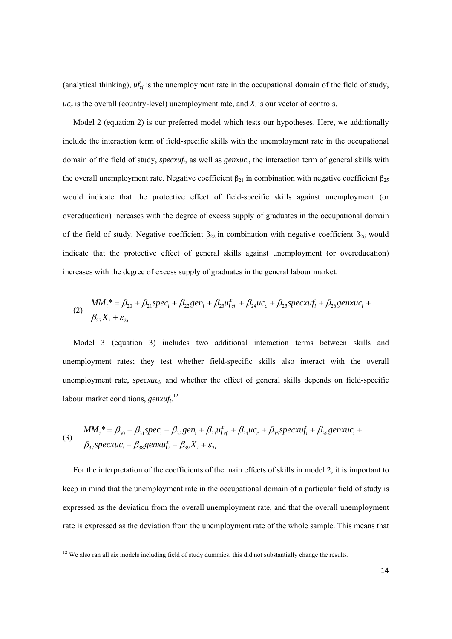(analytical thinking),  $uf_{cf}$  is the unemployment rate in the occupational domain of the field of study,  $uc_c$  is the overall (country-level) unemployment rate, and  $X_i$  is our vector of controls.

Model 2 (equation 2) is our preferred model which tests our hypotheses. Here, we additionally include the interaction term of field-specific skills with the unemployment rate in the occupational domain of the field of study, *specxufi*, as well as *genxuci*, the interaction term of general skills with the overall unemployment rate. Negative coefficient  $\beta_{21}$  in combination with negative coefficient  $\beta_{25}$ would indicate that the protective effect of field-specific skills against unemployment (or overeducation) increases with the degree of excess supply of graduates in the occupational domain of the field of study. Negative coefficient  $\beta_{22}$  in combination with negative coefficient  $\beta_{26}$  would indicate that the protective effect of general skills against unemployment (or overeducation) increases with the degree of excess supply of graduates in the general labour market.

(2) *i i i i i cf c i i X MM spec gen uf uc specxuf genxuc* 27 2 \* 20 21 22 23 24 25 26 

Model 3 (equation 3) includes two additional interaction terms between skills and unemployment rates; they test whether field-specific skills also interact with the overall unemployment rate, *specxuc<sub>i</sub>*, and whether the effect of general skills depends on field-specific labour market conditions, *genxufi*. 12

(3) 
$$
MM_i^* = \beta_{30} + \beta_{31} spec_i + \beta_{32} gen_i + \beta_{33} uf_{cf} + \beta_{34} uc_c + \beta_{35} specxuf_i + \beta_{36} genxuc_i + \beta_{37} specxuc_i + \beta_{38} genxuf_i + \beta_{39} X_i + \varepsilon_{3i}
$$

For the interpretation of the coefficients of the main effects of skills in model 2, it is important to keep in mind that the unemployment rate in the occupational domain of a particular field of study is expressed as the deviation from the overall unemployment rate, and that the overall unemployment rate is expressed as the deviation from the unemployment rate of the whole sample. This means that

 $12$  We also ran all six models including field of study dummies; this did not substantially change the results.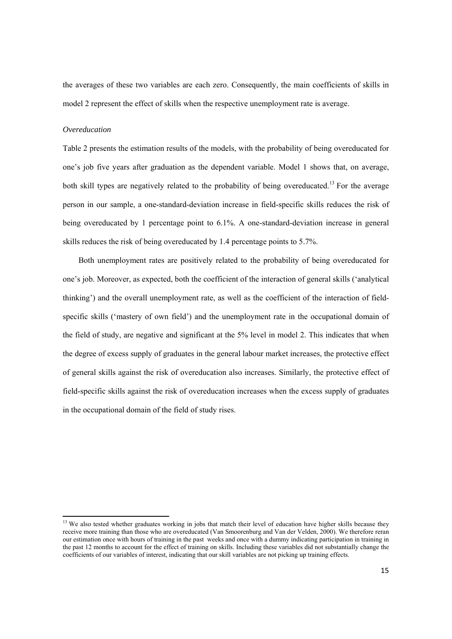the averages of these two variables are each zero. Consequently, the main coefficients of skills in model 2 represent the effect of skills when the respective unemployment rate is average.

#### *Overeducation*

Table 2 presents the estimation results of the models, with the probability of being overeducated for one's job five years after graduation as the dependent variable. Model 1 shows that, on average, both skill types are negatively related to the probability of being overeducated.<sup>13</sup> For the average person in our sample, a one-standard-deviation increase in field-specific skills reduces the risk of being overeducated by 1 percentage point to 6.1%. A one-standard-deviation increase in general skills reduces the risk of being overeducated by 1.4 percentage points to 5.7%.

Both unemployment rates are positively related to the probability of being overeducated for one's job. Moreover, as expected, both the coefficient of the interaction of general skills ('analytical thinking') and the overall unemployment rate, as well as the coefficient of the interaction of fieldspecific skills ('mastery of own field') and the unemployment rate in the occupational domain of the field of study, are negative and significant at the 5% level in model 2. This indicates that when the degree of excess supply of graduates in the general labour market increases, the protective effect of general skills against the risk of overeducation also increases. Similarly, the protective effect of field-specific skills against the risk of overeducation increases when the excess supply of graduates in the occupational domain of the field of study rises.

 $13$  We also tested whether graduates working in jobs that match their level of education have higher skills because they receive more training than those who are overeducated (Van Smoorenburg and Van der Velden, 2000). We therefore reran our estimation once with hours of training in the past weeks and once with a dummy indicating participation in training in the past 12 months to account for the effect of training on skills. Including these variables did not substantially change the coefficients of our variables of interest, indicating that our skill variables are not picking up training effects.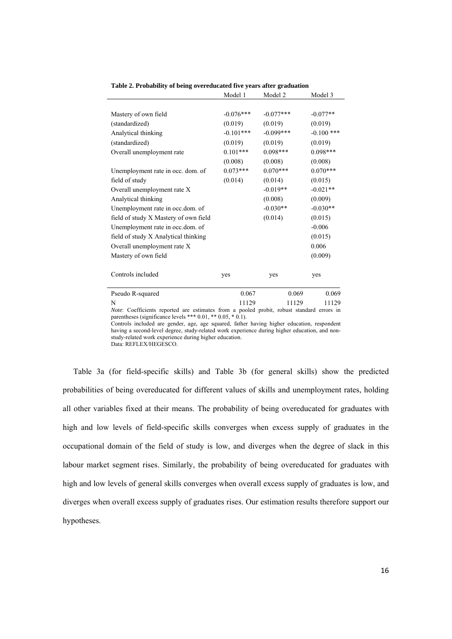|                                                                                           | Model 1     | Model 2      | Model 3      |
|-------------------------------------------------------------------------------------------|-------------|--------------|--------------|
|                                                                                           |             |              |              |
| Mastery of own field                                                                      | $-0.076***$ | $-0.077$ *** | $-0.077**$   |
| (standardized)                                                                            | (0.019)     | (0.019)      | (0.019)      |
| Analytical thinking                                                                       | $-0.101***$ | $-0.099***$  | $-0.100$ *** |
| (standardized)                                                                            | (0.019)     | (0.019)      | (0.019)      |
| Overall unemployment rate                                                                 | $0.101***$  | $0.098***$   | $0.098***$   |
|                                                                                           | (0.008)     | (0.008)      | (0.008)      |
| Unemployment rate in occ. dom. of                                                         | $0.073***$  | $0.070***$   | $0.070***$   |
| field of study                                                                            | (0.014)     | (0.014)      | (0.015)      |
| Overall unemployment rate X                                                               |             | $-0.019**$   | $-0.021**$   |
| Analytical thinking                                                                       |             | (0.008)      | (0.009)      |
| Unemployment rate in occ.dom. of                                                          |             | $-0.030**$   | $-0.030**$   |
| field of study X Mastery of own field                                                     |             | (0.014)      | (0.015)      |
| Unemployment rate in occ.dom. of                                                          |             |              | $-0.006$     |
| field of study X Analytical thinking                                                      |             |              | (0.015)      |
| Overall unemployment rate X                                                               |             |              | 0.006        |
| Mastery of own field                                                                      |             |              | (0.009)      |
| Controls included                                                                         | yes         | yes          | yes          |
| Pseudo R-squared                                                                          | 0.067       | 0.069        | 0.069        |
| N                                                                                         | 11129       | 11129        | 11129        |
| Note: Coefficients reported are estimates from a pooled probit, robust standard errors in |             |              |              |

**Table 2. Probability of being overeducated five years after graduation** 

parentheses (significance levels \*\*\* 0.01, \*\* 0.05, \* 0.1). Controls included are gender, age, age squared, father having higher education, respondent having a second-level degree, study-related work experience during higher education, and nonstudy-related work experience during higher education.

Data: REFLEX/HEGESCO.

Table 3a (for field-specific skills) and Table 3b (for general skills) show the predicted probabilities of being overeducated for different values of skills and unemployment rates, holding all other variables fixed at their means. The probability of being overeducated for graduates with high and low levels of field-specific skills converges when excess supply of graduates in the occupational domain of the field of study is low, and diverges when the degree of slack in this labour market segment rises. Similarly, the probability of being overeducated for graduates with high and low levels of general skills converges when overall excess supply of graduates is low, and diverges when overall excess supply of graduates rises. Our estimation results therefore support our hypotheses.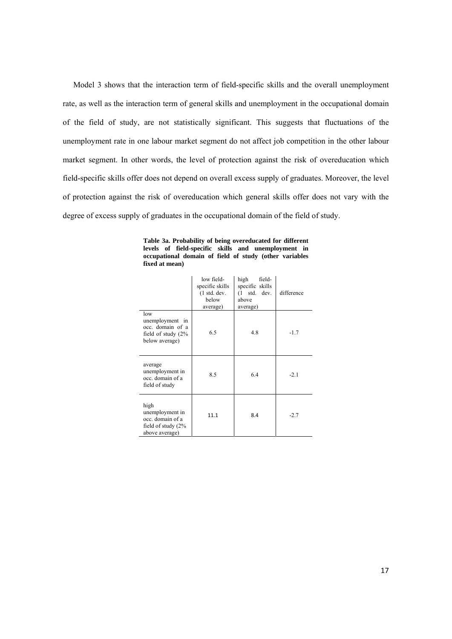Model 3 shows that the interaction term of field-specific skills and the overall unemployment rate, as well as the interaction term of general skills and unemployment in the occupational domain of the field of study, are not statistically significant. This suggests that fluctuations of the unemployment rate in one labour market segment do not affect job competition in the other labour market segment. In other words, the level of protection against the risk of overeducation which field-specific skills offer does not depend on overall excess supply of graduates. Moreover, the level of protection against the risk of overeducation which general skills offer does not vary with the degree of excess supply of graduates in the occupational domain of the field of study.

|                                                                                        | low field-<br>specific skills<br>$(1 \text{ std.} \text{ dev.})$<br>below<br>average) | high<br>field-<br>specific skills<br>$(1 \text{ std.} dev.$<br>above<br>average) | difference |
|----------------------------------------------------------------------------------------|---------------------------------------------------------------------------------------|----------------------------------------------------------------------------------|------------|
| low<br>unemployment in<br>occ. domain of a<br>field of study $(2\%$<br>below average)  | 6.5                                                                                   | 4.8                                                                              | $-1.7$     |
| average<br>unemployment in<br>occ. domain of a<br>field of study                       | 8.5                                                                                   | 6.4                                                                              | $-2.1$     |
| high<br>unemployment in<br>occ. domain of a<br>field of study $(2\%$<br>above average) | 11.1                                                                                  | 8.4                                                                              | $-2.7$     |

**Table 3a. Probability of being overeducated for different levels of field-specific skills and unemployment in occupational domain of field of study (other variables fixed at mean)**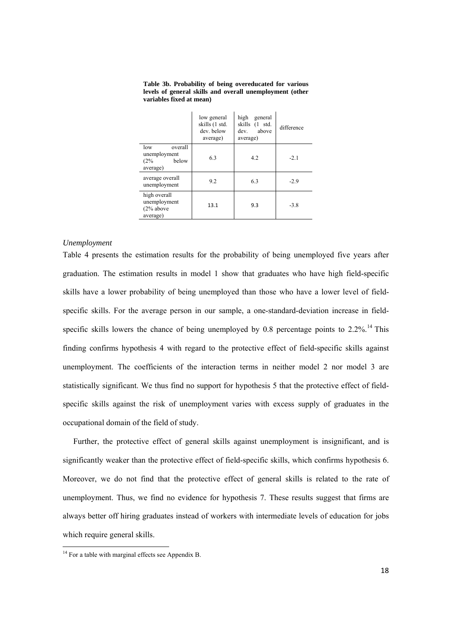|                                                            | low general<br>skills (1 std.<br>dev. below<br>average) | high<br>general<br>skills (1 std.<br>dev. above<br>average) | difference |
|------------------------------------------------------------|---------------------------------------------------------|-------------------------------------------------------------|------------|
| overall<br>low<br>unemployment<br>below<br>(2%<br>average) | 6.3                                                     | 4.2                                                         | $-2.1$     |
| average overall<br>unemployment                            | 9.2                                                     | 6.3                                                         | $-2.9$     |
| high overall<br>unemployment<br>$(2%$ above<br>average)    | 13.1                                                    | 9.3                                                         | $-3.8$     |

**Table 3b. Probability of being overeducated for various levels of general skills and overall unemployment (other variables fixed at mean)** 

j.

#### *Unemployment*

Table 4 presents the estimation results for the probability of being unemployed five years after graduation. The estimation results in model 1 show that graduates who have high field-specific skills have a lower probability of being unemployed than those who have a lower level of fieldspecific skills. For the average person in our sample, a one-standard-deviation increase in fieldspecific skills lowers the chance of being unemployed by 0.8 percentage points to  $2.2\%$ .<sup>14</sup> This finding confirms hypothesis 4 with regard to the protective effect of field-specific skills against unemployment. The coefficients of the interaction terms in neither model 2 nor model 3 are statistically significant. We thus find no support for hypothesis 5 that the protective effect of fieldspecific skills against the risk of unemployment varies with excess supply of graduates in the occupational domain of the field of study.

Further, the protective effect of general skills against unemployment is insignificant, and is significantly weaker than the protective effect of field-specific skills, which confirms hypothesis 6. Moreover, we do not find that the protective effect of general skills is related to the rate of unemployment. Thus, we find no evidence for hypothesis 7. These results suggest that firms are always better off hiring graduates instead of workers with intermediate levels of education for jobs which require general skills.

 $14$  For a table with marginal effects see Appendix B.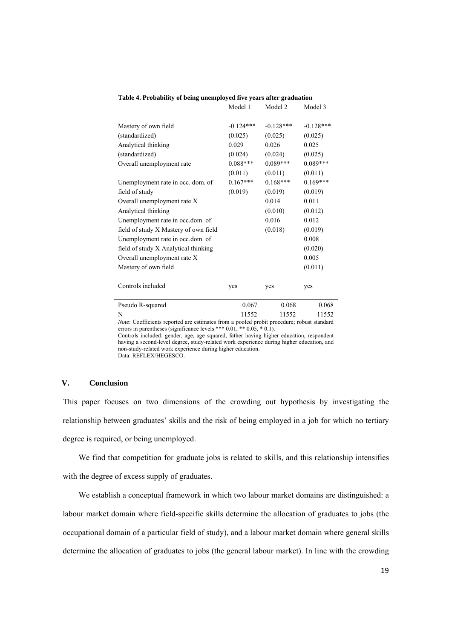|                                       | Model 1     | Model 2     | Model 3     |
|---------------------------------------|-------------|-------------|-------------|
|                                       |             |             |             |
| Mastery of own field                  | $-0.124***$ | $-0.128***$ | $-0.128***$ |
| (standardized)                        | (0.025)     | (0.025)     | (0.025)     |
| Analytical thinking                   | 0.029       | 0.026       | 0.025       |
| (standardized)                        | (0.024)     | (0.024)     | (0.025)     |
| Overall unemployment rate             | $0.088***$  | $0.089***$  | $0.089***$  |
|                                       | (0.011)     | (0.011)     | (0.011)     |
| Unemployment rate in occ. dom. of     | $0.167***$  | $0.168***$  | $0.169***$  |
| field of study                        | (0.019)     | (0.019)     | (0.019)     |
| Overall unemployment rate X           |             | 0.014       | 0.011       |
| Analytical thinking                   |             | (0.010)     | (0.012)     |
| Unemployment rate in occ.dom. of      |             | 0.016       | 0.012       |
| field of study X Mastery of own field |             | (0.018)     | (0.019)     |
| Unemployment rate in occ.dom. of      |             |             | 0.008       |
| field of study X Analytical thinking  |             |             | (0.020)     |
| Overall unemployment rate X           |             |             | 0.005       |
| Mastery of own field                  |             |             | (0.011)     |
|                                       |             |             |             |
| Controls included                     | yes         | yes         | yes         |
| Pseudo R-squared                      | 0.067       | 0.068       | 0.068       |
| N                                     | 11552       | 11552       | 11552       |

**Table 4. Probability of being unemployed five years after graduation** 

N 11552 11552 11552 *Note*: Coefficients reported are estimates from a pooled probit procedure; robust standard errors in parentheses (significance levels \*\*\* 0.01, \*\* 0.05, \* 0.1).

Controls included: gender, age, age squared, father having higher education, respondent having a second-level degree, study-related work experience during higher education, and non-study-related work experience during higher education. Data: REFLEX/HEGESCO.

#### **V. Conclusion**

This paper focuses on two dimensions of the crowding out hypothesis by investigating the relationship between graduates' skills and the risk of being employed in a job for which no tertiary degree is required, or being unemployed.

We find that competition for graduate jobs is related to skills, and this relationship intensifies with the degree of excess supply of graduates.

We establish a conceptual framework in which two labour market domains are distinguished: a labour market domain where field-specific skills determine the allocation of graduates to jobs (the occupational domain of a particular field of study), and a labour market domain where general skills determine the allocation of graduates to jobs (the general labour market). In line with the crowding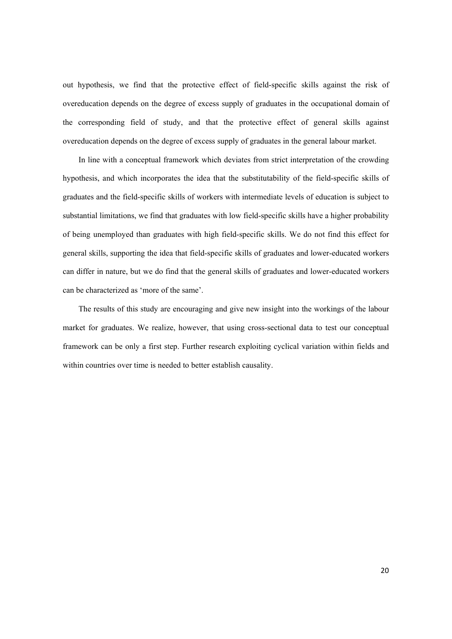out hypothesis, we find that the protective effect of field-specific skills against the risk of overeducation depends on the degree of excess supply of graduates in the occupational domain of the corresponding field of study, and that the protective effect of general skills against overeducation depends on the degree of excess supply of graduates in the general labour market.

In line with a conceptual framework which deviates from strict interpretation of the crowding hypothesis, and which incorporates the idea that the substitutability of the field-specific skills of graduates and the field-specific skills of workers with intermediate levels of education is subject to substantial limitations, we find that graduates with low field-specific skills have a higher probability of being unemployed than graduates with high field-specific skills. We do not find this effect for general skills, supporting the idea that field-specific skills of graduates and lower-educated workers can differ in nature, but we do find that the general skills of graduates and lower-educated workers can be characterized as 'more of the same'.

The results of this study are encouraging and give new insight into the workings of the labour market for graduates. We realize, however, that using cross-sectional data to test our conceptual framework can be only a first step. Further research exploiting cyclical variation within fields and within countries over time is needed to better establish causality.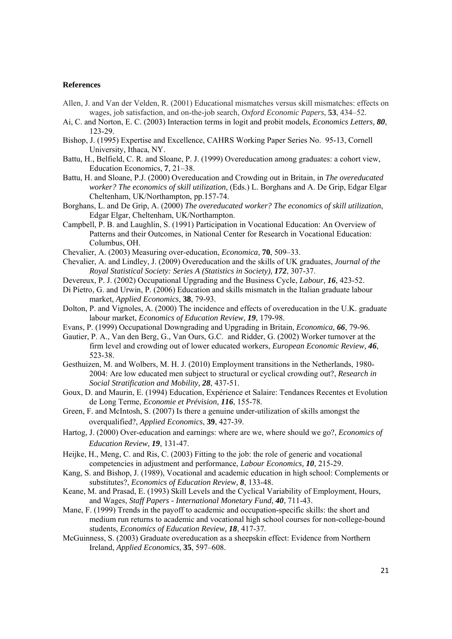#### **References**

- Allen, J. and Van der Velden, R. (2001) Educational mismatches versus skill mismatches: effects on wages, job satisfaction, and on-the-job search, *Oxford Economic Papers*, **53**, 434–52.
- Ai, C. and Norton, E. C. (2003) Interaction terms in logit and probit models, *Economics Letters, 80*, 123-29.
- Bishop, J. (1995) Expertise and Excellence, CAHRS Working Paper Series No. 95-13, Cornell University, Ithaca, NY.
- Battu, H., Belfield, C. R. and Sloane, P. J. (1999) Overeducation among graduates: a cohort view, Education Economics, **7**, 21–38.
- Battu, H. and Sloane, P.J. (2000) Overeducation and Crowding out in Britain, in *The overeducated worker? The economics of skill utilization*, (Eds.) L. Borghans and A. De Grip, Edgar Elgar Cheltenham, UK/Northampton, pp.157-74.
- Borghans, L. and De Grip, A. (2000) *The overeducated worker? The economics of skill utilization*, Edgar Elgar, Cheltenham, UK/Northampton.
- Campbell, P. B. and Laughlin, S. (1991) Participation in Vocational Education: An Overview of Patterns and their Outcomes, in National Center for Research in Vocational Education: Columbus, OH.
- Chevalier, A. (2003) Measuring over-education, *Economica*, **70**, 509–33.
- Chevalier, A. and Lindley, J. (2009) Overeducation and the skills of UK graduates, *Journal of the Royal Statistical Society: Series A (Statistics in Society), 172*, 307-37.
- Devereux, P. J. (2002) Occupational Upgrading and the Business Cycle, *Labour, 16*, 423-52.
- Di Pietro, G. and Urwin, P. (2006) Education and skills mismatch in the Italian graduate labour market, *Applied Economics*, **38**, 79-93.
- Dolton, P. and Vignoles, A. (2000) The incidence and effects of overeducation in the U.K. graduate labour market, *Economics of Education Review, 19*, 179-98.
- Evans, P. (1999) Occupational Downgrading and Upgrading in Britain, *Economica, 66*, 79-96.
- Gautier, P. A., Van den Berg, G., Van Ours, G.C. and Ridder, G. (2002) Worker turnover at the firm level and crowding out of lower educated workers, *European Economic Review, 46*, 523-38.
- Gesthuizen, M. and Wolbers, M. H. J. (2010) Employment transitions in the Netherlands, 1980- 2004: Are low educated men subject to structural or cyclical crowding out?, *Research in Social Stratification and Mobility, 28*, 437-51.
- Goux, D. and Maurin, E. (1994) Education, Expérience et Salaire: Tendances Recentes et Evolution de Long Terme, *Economie et Prévision, 116*, 155-78.
- Green, F. and McIntosh, S. (2007) Is there a genuine under-utilization of skills amongst the overqualified?, *Applied Economics*, **39**, 427-39.
- Hartog, J. (2000) Over-education and earnings: where are we, where should we go?, *Economics of Education Review, 19*, 131-47.
- Heijke, H., Meng, C. and Ris, C. (2003) Fitting to the job: the role of generic and vocational competencies in adjustment and performance, *Labour Economics, 10*, 215-29.
- Kang, S. and Bishop, J. (1989), Vocational and academic education in high school: Complements or substitutes?, *Economics of Education Review, 8*, 133-48.
- Keane, M. and Prasad, E. (1993) Skill Levels and the Cyclical Variability of Employment, Hours, and Wages, *Staff Papers - International Monetary Fund, 40*, 711-43.
- Mane, F. (1999) Trends in the payoff to academic and occupation-specific skills: the short and medium run returns to academic and vocational high school courses for non-college-bound students, *Economics of Education Review, 18*, 417-37.
- McGuinness, S. (2003) Graduate overeducation as a sheepskin effect: Evidence from Northern Ireland, *Applied Economics*, **35**, 597–608.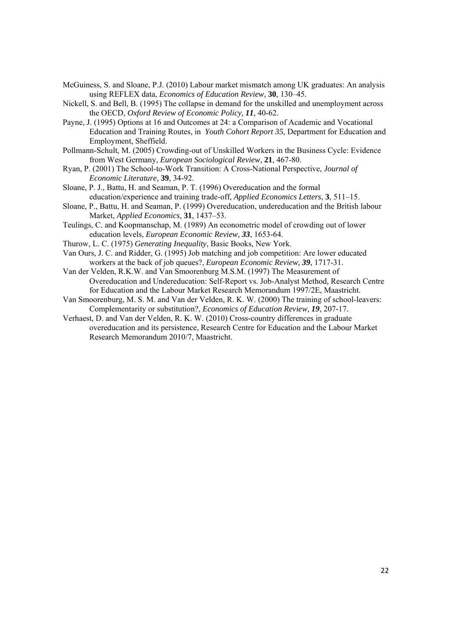- McGuiness, S. and Sloane, P.J. (2010) Labour market mismatch among UK graduates: An analysis using REFLEX data, *Economics of Education Review*, **30**, 130–45.
- Nickell, S. and Bell, B. (1995) The collapse in demand for the unskilled and unemployment across the OECD, *Oxford Review of Economic Policy, 11*, 40-62.
- Payne, J. (1995) Options at 16 and Outcomes at 24: a Comparison of Academic and Vocational Education and Training Routes, in *Youth Cohort Report 35*, Department for Education and Employment, Sheffield.
- Pollmann-Schult, M. (2005) Crowding-out of Unskilled Workers in the Business Cycle: Evidence from West Germany, *European Sociological Review,* **21**, 467-80.
- Ryan, P. (2001) The School-to-Work Transition: A Cross-National Perspective, *Journal of Economic Literature,* **39**, 34-92.
- Sloane, P. J., Battu, H. and Seaman, P. T. (1996) Overeducation and the formal education/experience and training trade-off, *Applied Economics Letters*, **3**, 511–15.
- Sloane, P., Battu, H. and Seaman, P. (1999) Overeducation, undereducation and the British labour Market, *Applied Economics*, **31**, 1437–53.
- Teulings, C. and Koopmanschap, M. (1989) An econometric model of crowding out of lower education levels, *European Economic Review, 33*, 1653-64.
- Thurow, L. C. (1975) *Generating Inequality*, Basic Books, New York.
- Van Ours, J. C. and Ridder, G. (1995) Job matching and job competition: Are lower educated workers at the back of job queues?, *European Economic Review, 39*, 1717-31.
- Van der Velden, R.K.W. and Van Smoorenburg M.S.M. (1997) The Measurement of Overeducation and Undereducation: Self-Report vs. Job-Analyst Method*,* Research Centre for Education and the Labour Market Research Memorandum 1997/2E, Maastricht.
- Van Smoorenburg, M. S. M. and Van der Velden, R. K. W. (2000) The training of school-leavers: Complementarity or substitution?, *Economics of Education Review, 19*, 207-17.
- Verhaest, D. and Van der Velden, R. K. W. (2010) Cross-country differences in graduate overeducation and its persistence, Research Centre for Education and the Labour Market Research Memorandum 2010/7, Maastricht.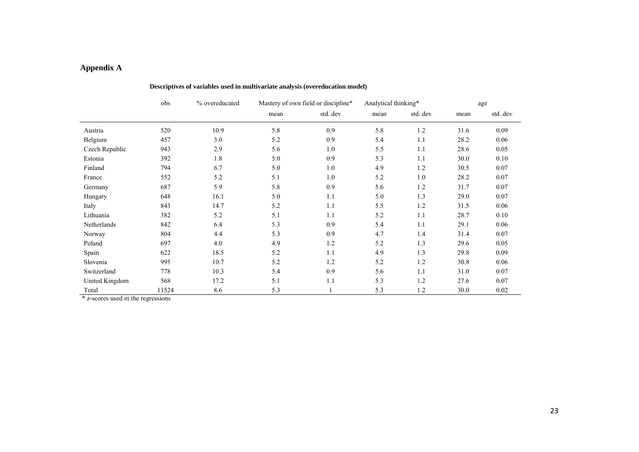## **Appendix A**

|                | obs   | % overeducated |      | Mastery of own field or discipline* | Analytical thinking* |          | age  |          |
|----------------|-------|----------------|------|-------------------------------------|----------------------|----------|------|----------|
|                |       |                | mean | std. dev                            | mean                 | std. dev | mean | std. dev |
| Austria        | 520   | 10.9           | 5.8  | 0.9                                 | 5.8                  | 1.2      | 31.6 | 0.09     |
| Belgium        | 457   | 3.0            | 5.2  | 0.9                                 | 5.4                  | 1.1      | 28.2 | 0.06     |
| Czech Republic | 943   | 2.9            | 5.6  | 1.0                                 | 5.5                  | 1.1      | 28.6 | 0.05     |
| Estonia        | 392   | 1.8            | 5.0  | 0.9                                 | 5.3                  | 1.1      | 30.0 | 0.10     |
| Finland        | 794   | 6.7            | 5.0  | 1.0                                 | 4.9                  | 1.2      | 30.5 | 0.07     |
| France         | 552   | 5.2            | 5.1  | 1.0                                 | 5.2                  | 1.0      | 28.2 | 0.07     |
| Germany        | 687   | 5.9            | 5.8  | 0.9                                 | 5.6                  | 1.2      | 31.7 | 0.07     |
| Hungary        | 648   | 16.1           | 5.0  | 1.1                                 | 5.0                  | 1.3      | 29.0 | 0.07     |
| Italy          | 843   | 14.7           | 5.2  | 1.1                                 | 5.5                  | 1.2      | 31.5 | 0.06     |
| Lithuania      | 382   | 5.2            | 5.1  | 1.1                                 | 5.2                  | 1.1      | 28.7 | 0.10     |
| Netherlands    | 842   | 6.4            | 5.3  | 0.9                                 | 5.4                  | 1.1      | 29.1 | 0.06     |
| Norway         | 804   | 4.4            | 5.3  | 0.9                                 | 4.7                  | 1.4      | 31.4 | 0.07     |
| Poland         | 697   | 4.0            | 4.9  | 1.2                                 | 5.2                  | 1.3      | 29.6 | 0.05     |
| Spain          | 622   | 18.5           | 5.2  | 1.1                                 | 4.9                  | 1.3      | 29.8 | 0.09     |
| Slovenia       | 995   | 10.7           | 5.2  | 1.2                                 | 5.2                  | 1.2      | 30.8 | 0.06     |
| Switzerland    | 778   | 10.3           | 5.4  | 0.9                                 | 5.6                  | 1.1      | 31.0 | 0.07     |
| United Kingdom | 568   | 17.2           | 5.1  | 1.1                                 | 5.3                  | 1.2      | 27.6 | 0.07     |
| Total          | 11524 | 8.6            | 5.3  |                                     | 5.3                  | 1.2      | 30.0 | 0.02     |

#### **Descriptives of variables used in multivariate analysis (overeducation model)**

 $\overline{\text{*}$  z-scores used in the regressions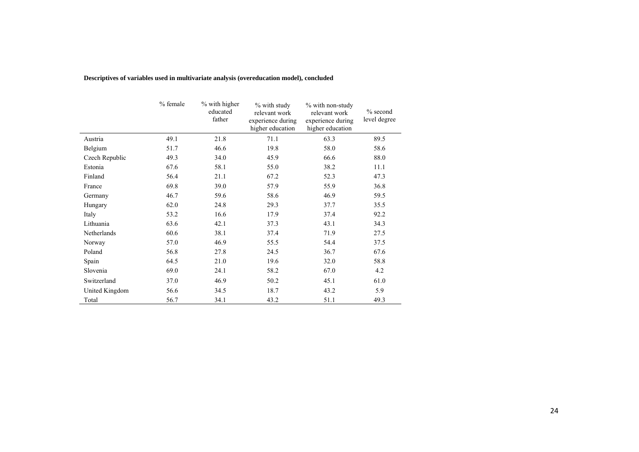|                | % female | % with higher<br>educated<br>father | % with study<br>relevant work<br>experience during<br>higher education | % with non-study<br>relevant work<br>experience during<br>higher education | $%$ second<br>level degree |
|----------------|----------|-------------------------------------|------------------------------------------------------------------------|----------------------------------------------------------------------------|----------------------------|
| Austria        | 49.1     | 21.8                                | 71.1                                                                   | 63.3                                                                       | 89.5                       |
| Belgium        | 51.7     | 46.6                                | 19.8                                                                   | 58.0                                                                       | 58.6                       |
| Czech Republic | 49.3     | 34.0                                | 45.9                                                                   | 66.6                                                                       | 88.0                       |
| Estonia        | 67.6     | 58.1                                | 55.0                                                                   | 38.2                                                                       | 11.1                       |
| Finland        | 56.4     | 21.1                                | 67.2                                                                   | 52.3                                                                       | 47.3                       |
| France         | 69.8     | 39.0                                | 57.9                                                                   | 55.9                                                                       | 36.8                       |
| Germany        | 46.7     | 59.6                                | 58.6                                                                   | 46.9                                                                       | 59.5                       |
| Hungary        | 62.0     | 24.8                                | 29.3                                                                   | 37.7                                                                       | 35.5                       |
| Italy          | 53.2     | 16.6                                | 17.9                                                                   | 37.4                                                                       | 92.2                       |
| Lithuania      | 63.6     | 42.1                                | 37.3                                                                   | 43.1                                                                       | 34.3                       |
| Netherlands    | 60.6     | 38.1                                | 37.4                                                                   | 71.9                                                                       | 27.5                       |
| Norway         | 57.0     | 46.9                                | 55.5                                                                   | 54.4                                                                       | 37.5                       |
| Poland         | 56.8     | 27.8                                | 24.5                                                                   | 36.7                                                                       | 67.6                       |
| Spain          | 64.5     | 21.0                                | 19.6                                                                   | 32.0                                                                       | 58.8                       |
| Slovenia       | 69.0     | 24.1                                | 58.2                                                                   | 67.0                                                                       | 4.2                        |
| Switzerland    | 37.0     | 46.9                                | 50.2                                                                   | 45.1                                                                       | 61.0                       |
| United Kingdom | 56.6     | 34.5                                | 18.7                                                                   | 43.2                                                                       | 5.9                        |
| Total          | 56.7     | 34.1                                | 43.2                                                                   | 51.1                                                                       | 49.3                       |

**Descriptives of variables used in multivariate analysis (overeducation model), concluded**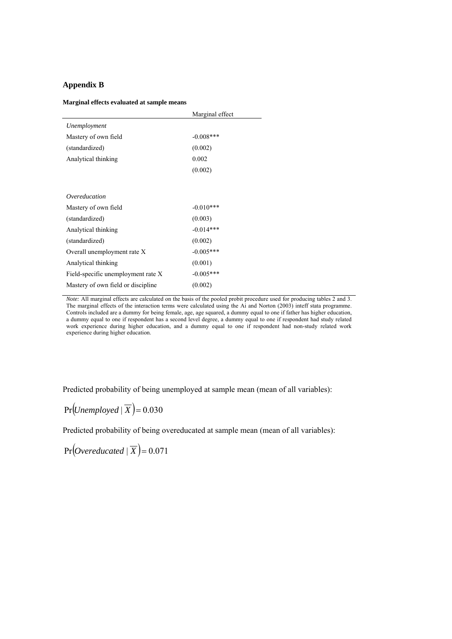#### **Appendix B**

#### **Marginal effects evaluated at sample means**

|                                     | Marginal effect |
|-------------------------------------|-----------------|
| Unemployment                        |                 |
| Mastery of own field                | $-0.008$ ***    |
| (standardized)                      | (0.002)         |
| Analytical thinking                 | 0.002           |
|                                     | (0.002)         |
|                                     |                 |
| Overeducation                       |                 |
| Mastery of own field                | $-0.010***$     |
| (standardized)                      | (0.003)         |
| Analytical thinking                 | $-0.014***$     |
| (standardized)                      | (0.002)         |
| Overall unemployment rate X         | $-0.005***$     |
| Analytical thinking                 | (0.001)         |
| Field-specific unemployment rate X  | $-0.005***$     |
| Mastery of own field or discipline. | (0.002)         |

*Note:* All marginal effects are calculated on the basis of the pooled probit procedure used for producing tables 2 and 3. The marginal effects of the interaction terms were calculated using the Ai and Norton (2003) inteff stata programme. Controls included are a dummy for being female, age, age squared, a dummy equal to one if father has higher education, a dummy equal to one if respondent has a second level degree, a dummy equal to one if respondent had study related work experience during higher education, and a dummy equal to one if respondent had non-study related work experience during higher education.

Predicted probability of being unemployed at sample mean (mean of all variables):

# $Pr(Unemplosed | \overline{X}) = 0.030$

Predicted probability of being overeducated at sample mean (mean of all variables):

 $Pr[Overeducated | \overline{X}$  = 0.071